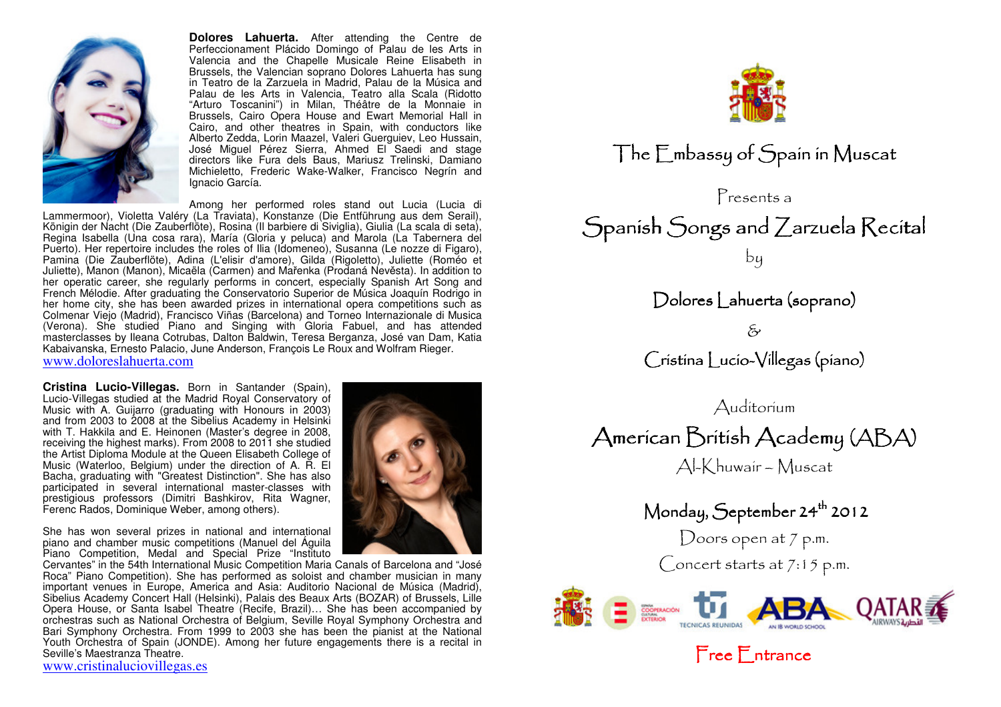

**Dolores Lahuerta.** After attending the Centre de Perfeccionament Plácido Domingo of Palau de les Arts in Valencia and the Chapelle Musicale Reine Elisabeth in Brussels, the Valencian soprano Dolores Lahuerta has sung in Teatro de la Zarzuela in Madrid, Palau de la Música and Palau de les Arts in Valencia, Teatro alla Scala (Ridotto "Arturo Toscanini") in Milan, Théâtre de la Monnaie in Brussels, Cairo Opera House and Ewart Memorial Hall in Cairo, and other theatres in Spain, with conductors like Alberto Zedda, Lorin Maazel, Valeri Guerguiev, Leo Hussain, José Miguel Pérez Sierra, Ahmed El Saedi and stage directors like Fura dels Baus, Mariusz Trelinski, Damiano Michieletto, Frederic Wake-Walker, Francisco Negrín and Ignacio García.

Among her performed roles stand out Lucia (Lucia di Lammermoor), Violetta Valéry (La Traviata), Konstanze (Die Entführung aus dem Serail), Königin der Nacht (Die Zauberflöte), Rosina (Il barbiere di Siviglia), Giulia (La scala di seta), Regina Isabella (Una cosa rara), María (Gloria y peluca) and Marola (La Tabernera del Puerto). Her repertoire includes the roles of Ilia (Idomeneo), Susanna (Le nozze di Figaro),<br>Pamina (Die Zauberflöte), Adina (L'elisir d'amore), Gilda (Rigoletto), Juliette (Roméo et Juliette), Manon (Manon), Micaëla (Carmen) and Mařenka (Prodaná Nevěsta). In addition to her operatic career, she regularly performs in concert, especially Spanish Art Song and French Mélodie. After graduating the Conservatorio Superior de Música Joaquín Rodrigo in her home city, she has been awarded prizes in international opera competitions such as Colmenar Viejo (Madrid), Francisco Viñas (Barcelona) and Torneo Internazionale di Musica (Verona). She studied Piano and Singing with Gloria Fabuel, and has attended masterclasses by Ileana Cotrubas, Dalton Baldwin, Teresa Berganza, José van Dam, Katia Kabaivanska, Ernesto Palacio, June Anderson, François Le Roux and Wolfram Rieger. www.doloreslahuerta.com

**Cristina Lucio-Villegas.** Born in Santander (Spain), Lucio-Villegas studied at the Madrid Royal Conservatory of Music with A. Guijarro (graduating with Honours in 2003) and from 2003 to 2008 at the Sibelius Academy in Helsinki with T. Hakkila and E. Heinonen (Master's degree in 2008, receiving the highest marks). From 2008 to 2011 she studied the Artist Diploma Module at the Queen Elisabeth College of Music (Waterloo, Belgium) under the direction of A. R. El Bacha, graduating with "Greatest Distinction". She has also participated in several international master-classes with prestigious professors (Dimitri Bashkirov, Rita Wagner, Ferenc Rados, Dominique Weber, among others).

She has won several prizes in national and international piano and chamber music competitions (Manuel del Águila Piano Competition, Medal and Special Prize "Instituto

 Cervantes" in the 54th International Music Competition Maria Canals of Barcelona and "José Roca" Piano Competition). She has performed as soloist and chamber musician in many important venues in Europe, America and Asia: Auditorio Nacional de Música (Madrid), Sibelius Academy Concert Hall (Helsinki), Palais des Beaux Arts (BOZAR) of Brussels, Lille Opera House, or Santa Isabel Theatre (Recife, Brazil)… She has been accompanied by orchestras such as National Orchestra of Belgium, Seville Royal Symphony Orchestra and Bari Symphony Orchestra. From 1999 to 2003 she has been the pianist at the National Youth Orchestra of Spain (JONDE). Among her future engagements there is a recital in Seville's Maestranza Theatre.

www.cristinaluciovillegas.es







 $\hat{\mathcal{E}}$ 

 $\big\langle$ ristina  $\big\lfloor$ ucio- $\big\langle$ illegas (piano)

AuditoriumAmerican British Academy (ABA) Al-Khuwair – Muscat

Monday, September 24<sup>th</sup> 2012

Doors open at 7 p.m.

 $\bigcap$  oncert starts at 7:15 p.m.



 $Free$   $F$  ntrance